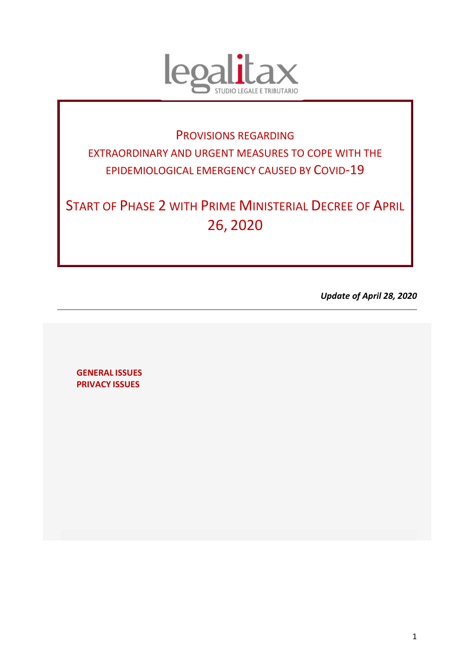

# PROVISIONS REGARDING EXTRAORDINARY AND URGENT MEASURES TO COPE WITH THE EPIDEMIOLOGICAL EMERGENCY CAUSED BY COVID-19

START OF PHASE 2 WITH PRIME MINISTERIAL DECREE OF APRIL 26, 2020

*Update of April 28, 2020* 

**GENERAL ISSUES PRIVACY ISSUES**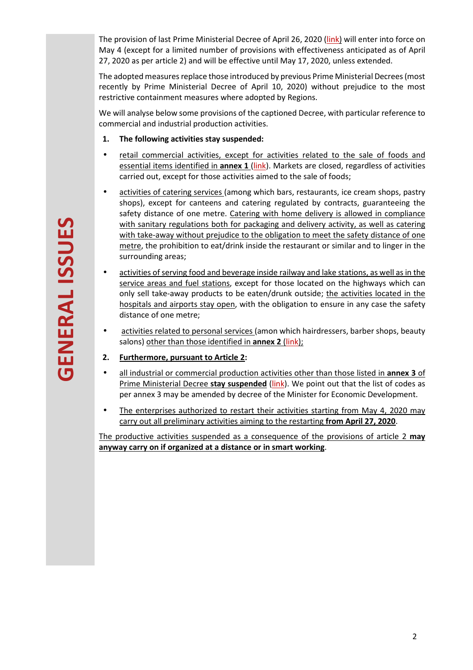The provision of last Prime Ministerial Decree of April 26, 2020 (link) will enter into force on May 4 (except for a limited number of provisions with effectiveness anticipated as of April 27, 2020 as per article 2) and will be effective until May 17, 2020, unless extended.

The adopted measures replace those introduced by previous Prime Ministerial Decrees (most recently by Prime Ministerial Decree of April 10, 2020) without prejudice to the most restrictive containment measures where adopted by Regions.

We will analyse below some provisions of the captioned Decree, with particular reference to commercial and industrial production activities.

- **1. The following activities stay suspended:**
- retail commercial activities, except for activities related to the sale of foods and essential items identified in **annex 1** (link). Markets are closed, regardless of activities carried out, except for those activities aimed to the sale of foods;
- activities of catering services (among which bars, restaurants, ice cream shops, pastry shops), except for canteens and catering regulated by contracts, guaranteeing the safety distance of one metre. Catering with home delivery is allowed in compliance with sanitary regulations both for packaging and delivery activity, as well as catering with take-away without prejudice to the obligation to meet the safety distance of one metre, the prohibition to eat/drink inside the restaurant or similar and to linger in the surrounding areas;
- activities of serving food and beverage inside railway and lake stations, as well as in the service areas and fuel stations, except for those located on the highways which can only sell take-away products to be eaten/drunk outside; the activities located in the hospitals and airports stay open, with the obligation to ensure in any case the safety distance of one metre;
- activities related to personal services (amon which hairdressers, barber shops, beauty salons) other than those identified in **annex 2** (link);
- **2. Furthermore, pursuant to Article 2:**
- all industrial or commercial production activities other than those listed in **annex 3** of Prime Ministerial Decree **stay suspended** (link). We point out that the list of codes as per annex 3 may be amended by decree of the Minister for Economic Development.
- The enterprises authorized to restart their activities starting from May 4, 2020 may carry out all preliminary activities aiming to the restarting **from April 27, 2020**.

The productive activities suspended as a consequence of the provisions of article 2 **may anyway carry on if organized at a distance or in smart working**.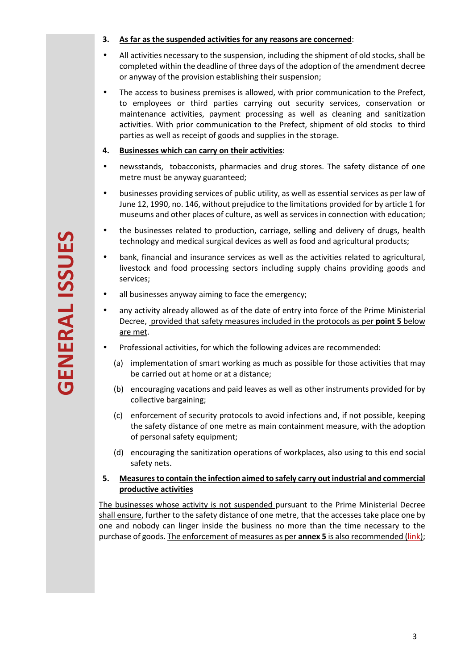- **3. As far as the suspended activities for any reasons are concerned**:
- All activities necessary to the suspension, including the shipment of old stocks, shall be completed within the deadline of three days of the adoption of the amendment decree or anyway of the provision establishing their suspension;
- The access to business premises is allowed, with prior communication to the Prefect, to employees or third parties carrying out security services, conservation or maintenance activities, payment processing as well as cleaning and sanitization activities. With prior communication to the Prefect, shipment of old stocks to third parties as well as receipt of goods and supplies in the storage.

## **4. Businesses which can carry on their activities**:

- newsstands, tobacconists, pharmacies and drug stores. The safety distance of one metre must be anyway guaranteed;
- businesses providing services of public utility, as well as essential services as per law of June 12, 1990, no. 146, without prejudice to the limitations provided for by article 1 for museums and other places of culture, as well as services in connection with education;
- the businesses related to production, carriage, selling and delivery of drugs, health technology and medical surgical devices as well as food and agricultural products;
- bank, financial and insurance services as well as the activities related to agricultural, livestock and food processing sectors including supply chains providing goods and services;
- all businesses anyway aiming to face the emergency:
- any activity already allowed as of the date of entry into force of the Prime Ministerial Decree, provided that safety measures included in the protocols as per **point 5** below are met.
- Professional activities, for which the following advices are recommended:
	- (a) implementation of smart working as much as possible for those activities that may be carried out at home or at a distance;
	- (b) encouraging vacations and paid leaves as well as other instruments provided for by collective bargaining;
	- (c) enforcement of security protocols to avoid infections and, if not possible, keeping the safety distance of one metre as main containment measure, with the adoption of personal safety equipment;
	- (d) encouraging the sanitization operations of workplaces, also using to this end social safety nets.

# **5. Measures to contain the infection aimed to safely carry out industrial and commercial productive activities**

The businesses whose activity is not suspended pursuant to the Prime Ministerial Decree shall ensure, further to the safety distance of one metre, that the accesses take place one by one and nobody can linger inside the business no more than the time necessary to the purchase of goods. The enforcement of measures as per **annex 5** is also recommended (link);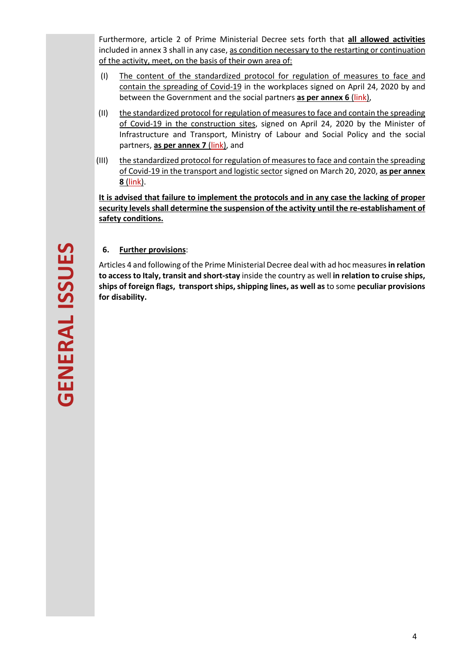Furthermore, article 2 of Prime Ministerial Decree sets forth that **all allowed activities** included in annex 3 shall in any case, as condition necessary to the restarting or continuation of the activity, meet, on the basis of their own area of:

- (I) The content of the standardized protocol for regulation of measures to face and contain the spreading of Covid-19 in the workplaces signed on April 24, 2020 by and between the Government and the social partners **as per annex 6** (link),
- (II) the standardized protocol for regulation of measures to face and contain the spreading of Covid-19 in the construction sites, signed on April 24, 2020 by the Minister of Infrastructure and Transport, Ministry of Labour and Social Policy and the social partners, **as per annex 7** (link), and
- (III) the standardized protocol for regulation of measures to face and contain the spreading of Covid-19 in the transport and logistic sector signed on March 20, 2020, **as per annex 8** (link).

**It is advised that failure to implement the protocols and in any case the lacking of proper security levels shall determine the suspension of the activity until the re-establishament of safety conditions.** 

# **6. Further provisions**:

Articles 4 and following of the Prime Ministerial Decree deal with ad hoc measures **in relation to access to Italy, transit and short-stay** inside the country as well **in relation to cruise ships, ships of foreign flags, transport ships, shipping lines, as well as** to some **peculiar provisions for disability.**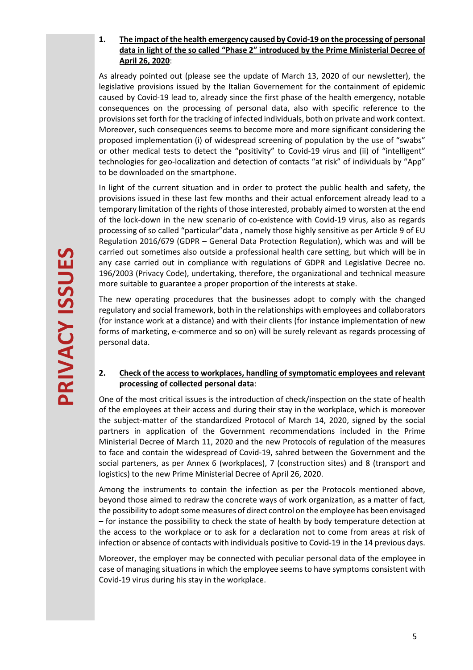# **1. The impact of the health emergency caused by Covid-19 on the processing of personal data in light of the so called "Phase 2" introduced by the Prime Ministerial Decree of April 26, 2020**:

As already pointed out (please see the update of March 13, 2020 of our newsletter), the legislative provisions issued by the Italian Governement for the containment of epidemic caused by Covid-19 lead to, already since the first phase of the health emergency, notable consequences on the processing of personal data, also with specific reference to the provisions set forth for the tracking of infected individuals, both on private and work context. Moreover, such consequences seems to become more and more significant considering the proposed implementation (i) of widespread screening of population by the use of "swabs" or other medical tests to detect the "positivity" to Covid-19 virus and (ii) of "intelligent" technologies for geo-localization and detection of contacts "at risk" of individuals by "App" to be downloaded on the smartphone.

In light of the current situation and in order to protect the public health and safety, the provisions issued in these last few months and their actual enforcement already lead to a temporary limitation of the rights of those interested, probably aimed to worsten at the end of the lock-down in the new scenario of co-existence with Covid-19 virus, also as regards processing of so called "particular"data , namely those highly sensitive as per Article 9 of EU Regulation 2016/679 (GDPR – General Data Protection Regulation), which was and will be carried out sometimes also outside a professional health care setting, but which will be in any case carried out in compliance with regulations of GDPR and Legislative Decree no. 196/2003 (Privacy Code), undertaking, therefore, the organizational and technical measure more suitable to guarantee a proper proportion of the interests at stake.

The new operating procedures that the businesses adopt to comply with the changed regulatory and social framework, both in the relationships with employees and collaborators (for instance work at a distance) and with their clients (for instance implementation of new forms of marketing, e-commerce and so on) will be surely relevant as regards processing of personal data.

# **2. Check of the access to workplaces, handling of symptomatic employees and relevant processing of collected personal data**:

One of the most critical issues is the introduction of check/inspection on the state of health of the employees at their access and during their stay in the workplace, which is moreover the subject-matter of the standardized Protocol of March 14, 2020, signed by the social partners in application of the Government recommendations included in the Prime Ministerial Decree of March 11, 2020 and the new Protocols of regulation of the measures to face and contain the widespread of Covid-19, sahred between the Government and the social parteners, as per Annex 6 (workplaces), 7 (construction sites) and 8 (transport and logistics) to the new Prime Ministerial Decree of April 26, 2020.

Among the instruments to contain the infection as per the Protocols mentioned above, beyond those aimed to redraw the concrete ways of work organization, as a matter of fact, the possibility to adopt some measures of direct control on the employee has been envisaged – for instance the possibility to check the state of health by body temperature detection at the access to the workplace or to ask for a declaration not to come from areas at risk of infection or absence of contacts with individuals positive to Covid-19 in the 14 previous days.

Moreover, the employer may be connected with peculiar personal data of the employee in case of managing situations in which the employee seems to have symptoms consistent with Covid-19 virus during his stay in the workplace.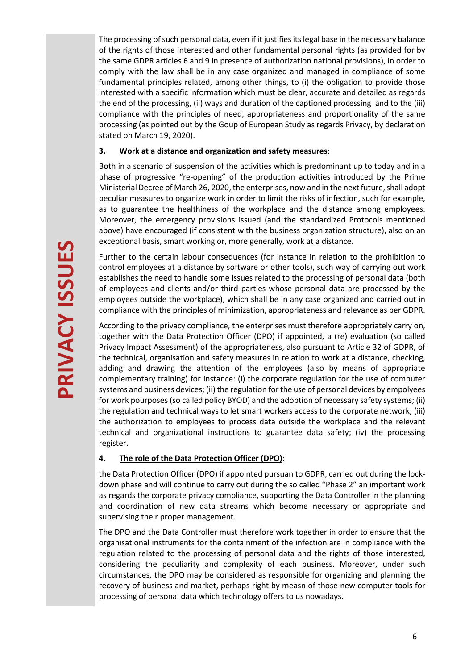The processing of such personal data, even if it justifies its legal base in the necessary balance of the rights of those interested and other fundamental personal rights (as provided for by the same GDPR articles 6 and 9 in presence of authorization national provisions), in order to comply with the law shall be in any case organized and managed in compliance of some fundamental principles related, among other things, to (i) the obligation to provide those interested with a specific information which must be clear, accurate and detailed as regards the end of the processing, (ii) ways and duration of the captioned processing and to the (iii) compliance with the principles of need, appropriateness and proportionality of the same processing (as pointed out by the Goup of European Study as regards Privacy, by declaration stated on March 19, 2020).

## **3. Work at a distance and organization and safety measures**:

Both in a scenario of suspension of the activities which is predominant up to today and in a phase of progressive "re-opening" of the production activities introduced by the Prime Ministerial Decree of March 26, 2020, the enterprises, now and in the next future, shall adopt peculiar measures to organize work in order to limit the risks of infection, such for example, as to guarantee the healthiness of the workplace and the distance among employees. Moreover, the emergency provisions issued (and the standardized Protocols mentioned above) have encouraged (if consistent with the business organization structure), also on an exceptional basis, smart working or, more generally, work at a distance.

Further to the certain labour consequences (for instance in relation to the prohibition to control employees at a distance by software or other tools), such way of carrying out work establishes the need to handle some issues related to the processing of personal data (both of employees and clients and/or third parties whose personal data are processed by the employees outside the workplace), which shall be in any case organized and carried out in compliance with the principles of minimization, appropriateness and relevance as per GDPR.

According to the privacy compliance, the enterprises must therefore appropriately carry on, together with the Data Protection Officer (DPO) if appointed, a (re) evaluation (so called Privacy Impact Assessment) of the appropriateness, also pursuant to Article 32 of GDPR, of the technical, organisation and safety measures in relation to work at a distance, checking, adding and drawing the attention of the employees (also by means of appropriate complementary training) for instance: (i) the corporate regulation for the use of computer systems and business devices; (ii) the regulation for the use of personal devices by empolyees for work pourposes (so called policy BYOD) and the adoption of necessary safety systems; (ii) the regulation and technical ways to let smart workers access to the corporate network; (iii) the authorization to employees to process data outside the workplace and the relevant technical and organizational instructions to guarantee data safety; (iv) the processing register.

# **4. The role of the Data Protection Officer (DPO)**:

the Data Protection Officer (DPO) if appointed pursuan to GDPR, carried out during the lockdown phase and will continue to carry out during the so called "Phase 2" an important work as regards the corporate privacy compliance, supporting the Data Controller in the planning and coordination of new data streams which become necessary or appropriate and supervising their proper management.

The DPO and the Data Controller must therefore work together in order to ensure that the organisational instruments for the containment of the infection are in compliance with the regulation related to the processing of personal data and the rights of those interested, considering the peculiarity and complexity of each business. Moreover, under such circumstances, the DPO may be considered as responsible for organizing and planning the recovery of business and market, perhaps right by measn of those new computer tools for processing of personal data which technology offers to us nowadays.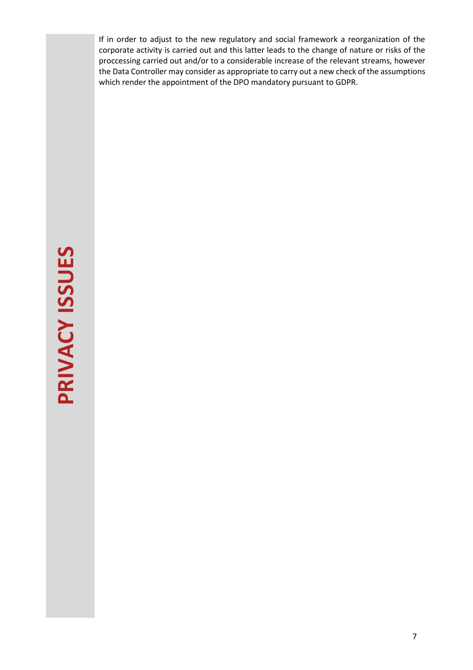If in order to adjust to the new regulatory and social framework a reorganization of the corporate activity is carried out and this latter leads to the change of nature or risks of the proccessing carried out and/or to a considerable increase of the relevant streams, however the Data Controller may consider as appropriate to carry out a new check of the assumptions which render the appointment of the DPO mandatory pursuant to GDPR.